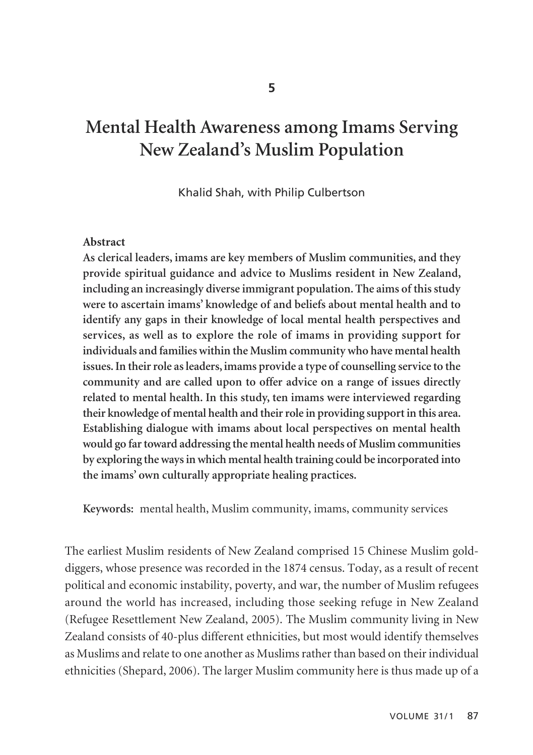# **Mental Health Awareness among Imams Serving New Zealand's Muslim Population**

Khalid Shah, with Philip Culbertson

#### **Abstract**

**As clerical leaders, imams are key members of Muslim communities, and they provide spiritual guidance and advice to Muslims resident in New Zealand, including an increasingly diverse immigrant population. The aims of this study were to ascertain imams' knowledge of and beliefs about mental health and to identify any gaps in their knowledge of local mental health perspectives and services, as well as to explore the role of imams in providing support for individuals and families within the Muslim community who have mental health issues. In their role as leaders, imams provide a type of counselling service to the community and are called upon to offer advice on a range of issues directly related to mental health. In this study, ten imams were interviewed regarding their knowledge of mental health and their role in providing support in this area. Establishing dialogue with imams about local perspectives on mental health would go far toward addressing the mental health needs of Muslim communities by exploring the ways in which mental health training could be incorporated into the imams' own culturally appropriate healing practices.** 

**Keywords:** mental health, Muslim community, imams, community services

The earliest Muslim residents of New Zealand comprised 15 Chinese Muslim golddiggers, whose presence was recorded in the 1874 census. Today, as a result of recent political and economic instability, poverty, and war, the number of Muslim refugees around the world has increased, including those seeking refuge in New Zealand (Refugee Resettlement New Zealand, 2005). The Muslim community living in New Zealand consists of 40-plus different ethnicities, but most would identify themselves as Muslims and relate to one another as Muslims rather than based on their individual ethnicities (Shepard, 2006). The larger Muslim community here is thus made up of a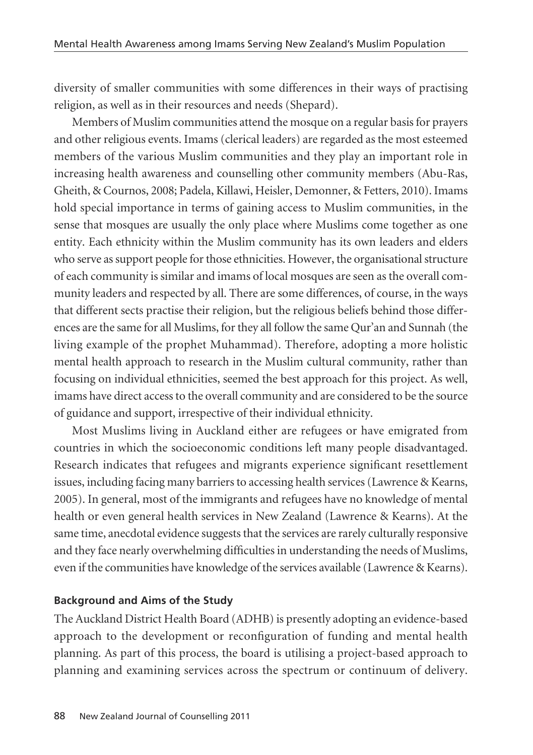diversity of smaller communities with some differences in their ways of practising religion, as well as in their resources and needs (Shepard).

Members of Muslim communities attend the mosque on a regular basis for prayers and other religious events. Imams (clerical leaders) are regarded as the most esteemed members of the various Muslim communities and they play an important role in increasing health awareness and counselling other community members (Abu-Ras, Gheith, & Cournos, 2008; Padela, Killawi, Heisler, Demonner, & Fetters, 2010). Imams hold special importance in terms of gaining access to Muslim communities, in the sense that mosques are usually the only place where Muslims come together as one entity. Each ethnicity within the Muslim community has its own leaders and elders who serve as support people for those ethnicities. However, the organisational structure of each community is similar and imams of local mosques are seen as the overall community leaders and respected by all. There are some differences, of course, in the ways that different sects practise their religion, but the religious beliefs behind those differences are the same for all Muslims, for they all follow the same Qur'an and Sunnah (the living example of the prophet Muhammad). Therefore, adopting a more holistic mental health approach to research in the Muslim cultural community, rather than focusing on individual ethnicities, seemed the best approach for this project. As well, imams have direct access to the overall community and are considered to be the source of guidance and support, irrespective of their individual ethnicity.

Most Muslims living in Auckland either are refugees or have emigrated from countries in which the socioeconomic conditions left many people disadvantaged. Research indicates that refugees and migrants experience significant resettlement issues, including facing many barriers to accessing health services (Lawrence & Kearns, 2005). In general, most of the immigrants and refugees have no knowledge of mental health or even general health services in New Zealand (Lawrence & Kearns). At the same time, anecdotal evidence suggests that the services are rarely culturally responsive and they face nearly overwhelming difficulties in understanding the needs of Muslims, even if the communities have knowledge of the services available (Lawrence & Kearns).

### **Background and Aims of the Study**

The Auckland District Health Board (ADHB) is presently adopting an evidence-based approach to the development or reconfiguration of funding and mental health planning. As part of this process, the board is utilising a project-based approach to planning and examining services across the spectrum or continuum of delivery.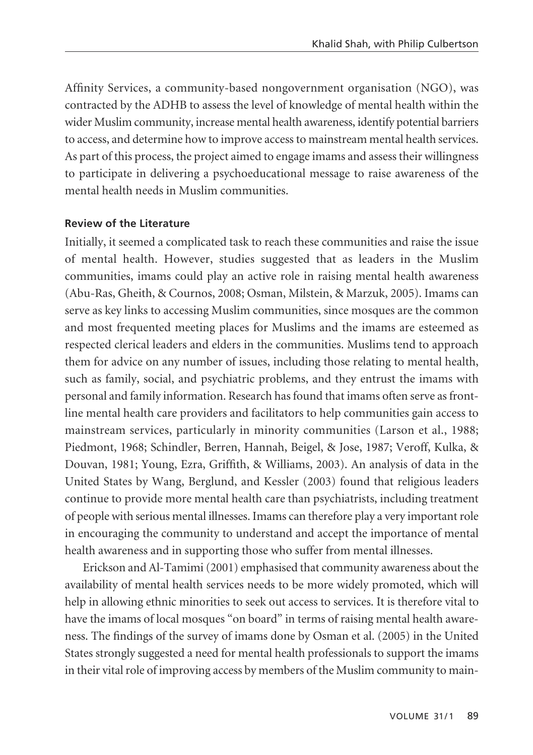Affinity Services, a community-based nongovernment organisation (NGO), was contracted by the ADHB to assess the level of knowledge of mental health within the wider Muslim community, increase mental health awareness, identify potential barriers to access, and determine how to improve access to mainstream mental health services. As part of this process, the project aimed to engage imams and assess their willingness to participate in delivering a psychoeducational message to raise awareness of the mental health needs in Muslim communities.

#### **Review of the Literature**

Initially, it seemed a complicated task to reach these communities and raise the issue of mental health. However, studies suggested that as leaders in the Muslim communities, imams could play an active role in raising mental health awareness (Abu-Ras, Gheith, & Cournos, 2008; Osman, Milstein, & Marzuk, 2005). Imams can serve as key links to accessing Muslim communities, since mosques are the common and most frequented meeting places for Muslims and the imams are esteemed as respected clerical leaders and elders in the communities. Muslims tend to approach them for advice on any number of issues, including those relating to mental health, such as family, social, and psychiatric problems, and they entrust the imams with personal and family information. Research has found that imams often serve as frontline mental health care providers and facilitators to help communities gain access to mainstream services, particularly in minority communities (Larson et al., 1988; Piedmont, 1968; Schindler, Berren, Hannah, Beigel, & Jose, 1987; Veroff, Kulka, & Douvan, 1981; Young, Ezra, Griffith, & Williams, 2003). An analysis of data in the United States by Wang, Berglund, and Kessler (2003) found that religious leaders continue to provide more mental health care than psychiatrists, including treatment of people with serious mental illnesses. Imams can therefore play a very important role in encouraging the community to understand and accept the importance of mental health awareness and in supporting those who suffer from mental illnesses.

Erickson and Al-Tamimi (2001) emphasised that community awareness about the availability of mental health services needs to be more widely promoted, which will help in allowing ethnic minorities to seek out access to services. It is therefore vital to have the imams of local mosques "on board" in terms of raising mental health awareness. The findings of the survey of imams done by Osman et al. (2005) in the United States strongly suggested a need for mental health professionals to support the imams in their vital role of improving access by members of the Muslim community to main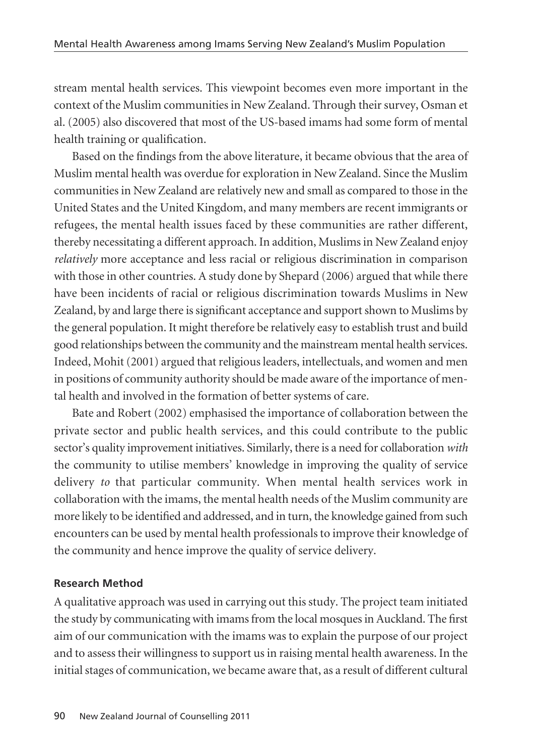stream mental health services. This viewpoint becomes even more important in the context of the Muslim communities in New Zealand. Through their survey, Osman et al. (2005) also discovered that most of the US-based imams had some form of mental health training or qualification.

Based on the findings from the above literature, it became obvious that the area of Muslim mental health was overdue for exploration in New Zealand. Since the Muslim communities in New Zealand are relatively new and small as compared to those in the United States and the United Kingdom, and many members are recent immigrants or refugees, the mental health issues faced by these communities are rather different, thereby necessitating a different approach. In addition, Muslims in New Zealand enjoy *relatively* more acceptance and less racial or religious discrimination in comparison with those in other countries. A study done by Shepard (2006) argued that while there have been incidents of racial or religious discrimination towards Muslims in New Zealand, by and large there is significant acceptance and support shown to Muslims by the general population. It might therefore be relatively easy to establish trust and build good relationships between the community and the mainstream mental health services. Indeed, Mohit (2001) argued that religious leaders, intellectuals, and women and men in positions of community authority should be made aware of the importance of mental health and involved in the formation of better systems of care.

Bate and Robert (2002) emphasised the importance of collaboration between the private sector and public health services, and this could contribute to the public sector's quality improvement initiatives. Similarly, there is a need for collaboration *with* the community to utilise members' knowledge in improving the quality of service delivery *to* that particular community. When mental health services work in collaboration with the imams, the mental health needs of the Muslim community are more likely to be identified and addressed, and in turn, the knowledge gained from such encounters can be used by mental health professionals to improve their knowledge of the community and hence improve the quality of service delivery.

#### **Research Method**

A qualitative approach was used in carrying out this study. The project team initiated the study by communicating with imams from the local mosques in Auckland. The first aim of our communication with the imams was to explain the purpose of our project and to assess their willingness to support us in raising mental health awareness. In the initial stages of communication, we became aware that, as a result of different cultural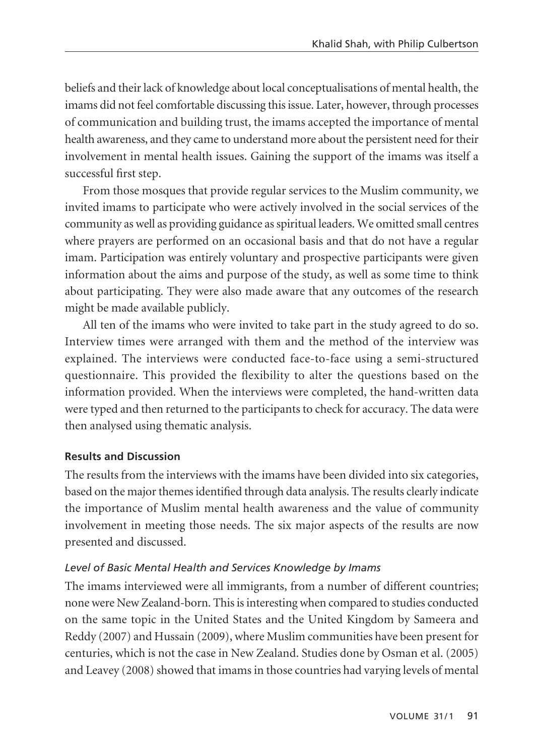beliefs and their lack of knowledge about local conceptualisations of mental health, the imams did not feel comfortable discussing this issue. Later, however, through processes of communication and building trust, the imams accepted the importance of mental health awareness, and they came to understand more about the persistent need for their involvement in mental health issues. Gaining the support of the imams was itself a successful first step.

From those mosques that provide regular services to the Muslim community, we invited imams to participate who were actively involved in the social services of the community as well as providing guidance as spiritual leaders. We omitted small centres where prayers are performed on an occasional basis and that do not have a regular imam. Participation was entirely voluntary and prospective participants were given information about the aims and purpose of the study, as well as some time to think about participating. They were also made aware that any outcomes of the research might be made available publicly.

All ten of the imams who were invited to take part in the study agreed to do so. Interview times were arranged with them and the method of the interview was explained. The interviews were conducted face-to-face using a semi-structured questionnaire. This provided the flexibility to alter the questions based on the information provided. When the interviews were completed, the hand-written data were typed and then returned to the participants to check for accuracy. The data were then analysed using thematic analysis.

#### **Results and Discussion**

The results from the interviews with the imams have been divided into six categories, based on the major themes identified through data analysis. The results clearly indicate the importance of Muslim mental health awareness and the value of community involvement in meeting those needs. The six major aspects of the results are now presented and discussed.

#### *Level of Basic Mental Health and Services Knowledge by Imams*

The imams interviewed were all immigrants, from a number of different countries; none were New Zealand-born. This is interesting when compared to studies conducted on the same topic in the United States and the United Kingdom by Sameera and Reddy (2007) and Hussain (2009), where Muslim communities have been present for centuries, which is not the case in New Zealand. Studies done by Osman et al. (2005) and Leavey (2008) showed that imams in those countries had varying levels of mental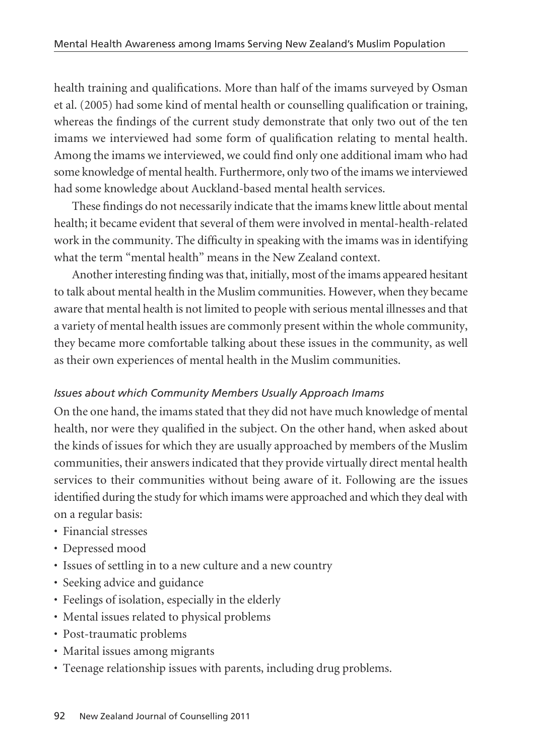health training and qualifications. More than half of the imams surveyed by Osman et al. (2005) had some kind of mental health or counselling qualification or training, whereas the findings of the current study demonstrate that only two out of the ten imams we interviewed had some form of qualification relating to mental health. Among the imams we interviewed, we could find only one additional imam who had some knowledge of mental health. Furthermore, only two of the imams we interviewed had some knowledge about Auckland-based mental health services.

These findings do not necessarily indicate that the imams knew little about mental health; it became evident that several of them were involved in mental-health-related work in the community. The difficulty in speaking with the imams was in identifying what the term "mental health" means in the New Zealand context.

Another interesting finding was that, initially, most of the imams appeared hesitant to talk about mental health in the Muslim communities. However, when they became aware that mental health is not limited to people with serious mental illnesses and that a variety of mental health issues are commonly present within the whole community, they became more comfortable talking about these issues in the community, as well as their own experiences of mental health in the Muslim communities.

#### *Issues about which Community Members Usually Approach Imams*

On the one hand, the imams stated that they did not have much knowledge of mental health, nor were they qualified in the subject. On the other hand, when asked about the kinds of issues for which they are usually approached by members of the Muslim communities, their answers indicated that they provide virtually direct mental health services to their communities without being aware of it. Following are the issues identified during the study for which imams were approached and which they deal with on a regular basis:

- Financial stresses
- Depressed mood
- Issues of settling in to a new culture and a new country
- Seeking advice and guidance
- Feelings of isolation, especially in the elderly
- Mental issues related to physical problems
- Post-traumatic problems
- Marital issues among migrants
- Teenage relationship issues with parents, including drug problems.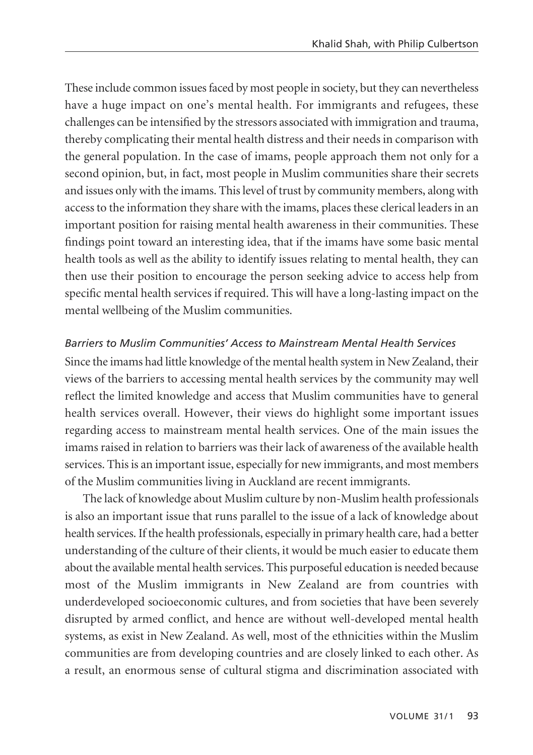These include common issues faced by most people in society, but they can nevertheless have a huge impact on one's mental health. For immigrants and refugees, these challenges can be intensified by the stressors associated with immigration and trauma, thereby complicating their mental health distress and their needs in comparison with the general population. In the case of imams, people approach them not only for a second opinion, but, in fact, most people in Muslim communities share their secrets and issues only with the imams. This level of trust by community members, along with access to the information they share with the imams, places these clerical leaders in an important position for raising mental health awareness in their communities. These findings point toward an interesting idea, that if the imams have some basic mental health tools as well as the ability to identify issues relating to mental health, they can then use their position to encourage the person seeking advice to access help from specific mental health services if required. This will have a long-lasting impact on the mental wellbeing of the Muslim communities.

#### *Barriers to Muslim Communities' Access to Mainstream Mental Health Services*

Since the imams had little knowledge of the mental health system in New Zealand, their views of the barriers to accessing mental health services by the community may well reflect the limited knowledge and access that Muslim communities have to general health services overall. However, their views do highlight some important issues regarding access to mainstream mental health services. One of the main issues the imams raised in relation to barriers was their lack of awareness of the available health services. This is an important issue, especially for new immigrants, and most members of the Muslim communities living in Auckland are recent immigrants.

The lack of knowledge about Muslim culture by non-Muslim health professionals is also an important issue that runs parallel to the issue of a lack of knowledge about health services. If the health professionals, especially in primary health care, had a better understanding of the culture of their clients, it would be much easier to educate them about the available mental health services. This purposeful education is needed because most of the Muslim immigrants in New Zealand are from countries with underdeveloped socioeconomic cultures, and from societies that have been severely disrupted by armed conflict, and hence are without well-developed mental health systems, as exist in New Zealand. As well, most of the ethnicities within the Muslim communities are from developing countries and are closely linked to each other. As a result, an enormous sense of cultural stigma and discrimination associated with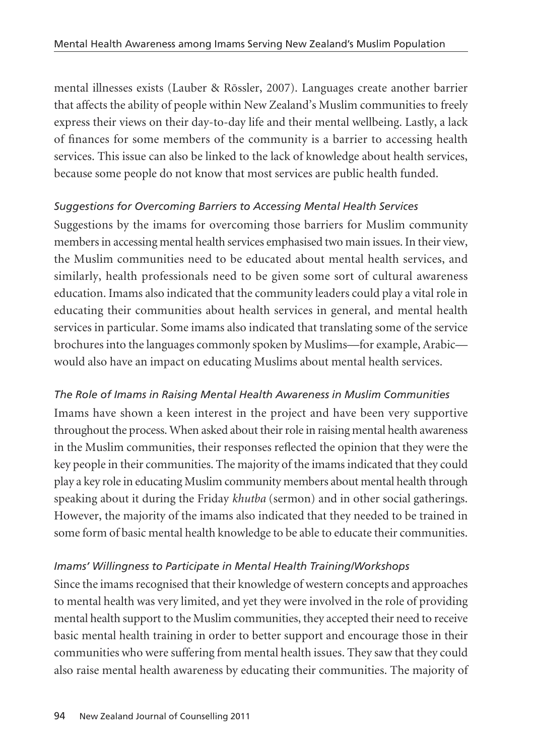mental illnesses exists (Lauber & Rössler, 2007). Languages create another barrier that affects the ability of people within New Zealand's Muslim communities to freely express their views on their day-to-day life and their mental wellbeing. Lastly, a lack of finances for some members of the community is a barrier to accessing health services. This issue can also be linked to the lack of knowledge about health services, because some people do not know that most services are public health funded.

## *Suggestions for Overcoming Barriers to Accessing Mental Health Services*

Suggestions by the imams for overcoming those barriers for Muslim community members in accessing mental health services emphasised two main issues. In their view, the Muslim communities need to be educated about mental health services, and similarly, health professionals need to be given some sort of cultural awareness education. Imams also indicated that the community leaders could play a vital role in educating their communities about health services in general, and mental health services in particular. Some imams also indicated that translating some of the service brochures into the languages commonly spoken by Muslims—for example, Arabic would also have an impact on educating Muslims about mental health services.

## *The Role of Imams in Raising Mental Health Awareness in Muslim Communities*

Imams have shown a keen interest in the project and have been very supportive throughout the process. When asked about their role in raising mental health awareness in the Muslim communities, their responses reflected the opinion that they were the key people in their communities. The majority of the imams indicated that they could play a key role in educating Muslim community members about mental health through speaking about it during the Friday *khutba* (sermon) and in other social gatherings. However, the majority of the imams also indicated that they needed to be trained in some form of basic mental health knowledge to be able to educate their communities.

## *Imams' Willingness to Participate in Mental Health Training/Workshops*

Since the imams recognised that their knowledge of western concepts and approaches to mental health was very limited, and yet they were involved in the role of providing mental health support to the Muslim communities, they accepted their need to receive basic mental health training in order to better support and encourage those in their communities who were suffering from mental health issues. They saw that they could also raise mental health awareness by educating their communities. The majority of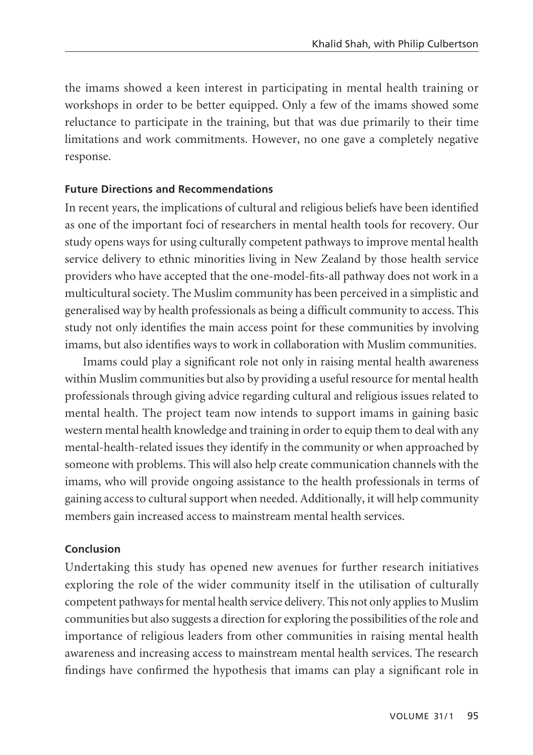the imams showed a keen interest in participating in mental health training or workshops in order to be better equipped. Only a few of the imams showed some reluctance to participate in the training, but that was due primarily to their time limitations and work commitments. However, no one gave a completely negative response.

#### **Future Directions and Recommendations**

In recent years, the implications of cultural and religious beliefs have been identified as one of the important foci of researchers in mental health tools for recovery. Our study opens ways for using culturally competent pathways to improve mental health service delivery to ethnic minorities living in New Zealand by those health service providers who have accepted that the one-model-fits-all pathway does not work in a multicultural society. The Muslim community has been perceived in a simplistic and generalised way by health professionals as being a difficult community to access. This study not only identifies the main access point for these communities by involving imams, but also identifies ways to work in collaboration with Muslim communities.

Imams could play a significant role not only in raising mental health awareness within Muslim communities but also by providing a useful resource for mental health professionals through giving advice regarding cultural and religious issues related to mental health. The project team now intends to support imams in gaining basic western mental health knowledge and training in order to equip them to deal with any mental-health-related issues they identify in the community or when approached by someone with problems. This will also help create communication channels with the imams, who will provide ongoing assistance to the health professionals in terms of gaining access to cultural support when needed. Additionally, it will help community members gain increased access to mainstream mental health services.

#### **Conclusion**

Undertaking this study has opened new avenues for further research initiatives exploring the role of the wider community itself in the utilisation of culturally competent pathways for mental health service delivery. This not only applies to Muslim communities but also suggests a direction for exploring the possibilities of the role and importance of religious leaders from other communities in raising mental health awareness and increasing access to mainstream mental health services. The research findings have confirmed the hypothesis that imams can play a significant role in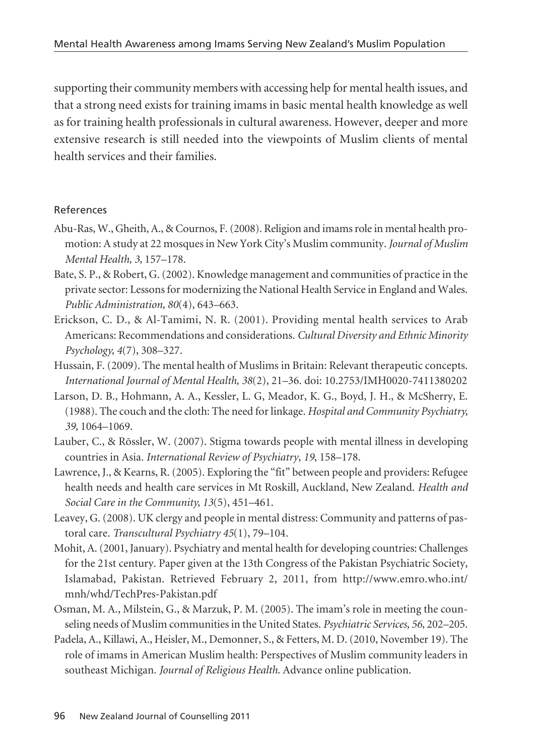supporting their community members with accessing help for mental health issues, and that a strong need exists for training imams in basic mental health knowledge as well as for training health professionals in cultural awareness. However, deeper and more extensive research is still needed into the viewpoints of Muslim clients of mental health services and their families.

#### References

- Abu-Ras, W., Gheith, A., & Cournos, F. (2008). Religion and imams role in mental health promotion: A study at 22 mosques in New York City's Muslim community. *Journal of Muslim Mental Health, 3,* 157–178.
- Bate, S. P., & Robert, G. (2002). Knowledge management and communities of practice in the private sector: Lessons for modernizing the National Health Service in England and Wales. *Public Administration, 80*(4), 643–663.
- Erickson, C. D., & Al-Tamimi, N. R. (2001). Providing mental health services to Arab Americans: Recommendations and considerations. *Cultural Diversity and Ethnic Minority Psychology, 4*(7), 308–327.
- Hussain, F. (2009). The mental health of Muslims in Britain: Relevant therapeutic concepts. *International Journal of Mental Health, 38*(2), 21–36. doi: 10.2753/IMH0020-7411380202
- Larson, D. B., Hohmann, A. A., Kessler, L. G, Meador, K. G., Boyd, J. H., & McSherry, E. (1988). The couch and the cloth: The need for linkage. *Hospital and Community Psychiatry, 39,* 1064–1069.
- Lauber, C., & Rössler, W. (2007). Stigma towards people with mental illness in developing countries in Asia. *International Review of Psychiatry*, *19*, 158–178.
- Lawrence, J., & Kearns, R. (2005). Exploring the "fit" between people and providers: Refugee health needs and health care services in Mt Roskill, Auckland, New Zealand. *Health and Social Care in the Community, 13*(5), 451–461.
- Leavey, G. (2008). UK clergy and people in mental distress: Community and patterns of pastoral care. *Transcultural Psychiatry 45*(1), 79–104.
- Mohit, A. (2001, January). Psychiatry and mental health for developing countries: Challenges for the 21st century. Paper given at the 13th Congress of the Pakistan Psychiatric Society, Islamabad, Pakistan. Retrieved February 2, 2011, from http://www.emro.who.int/ mnh/whd/TechPres-Pakistan.pdf
- Osman, M. A., Milstein, G., & Marzuk, P. M. (2005). The imam's role in meeting the counseling needs of Muslim communities in the United States. *Psychiatric Services, 56,* 202–205.
- Padela, A., Killawi, A., Heisler, M., Demonner, S., & Fetters, M. D. (2010, November 19). The role of imams in American Muslim health: Perspectives of Muslim community leaders in southeast Michigan. *Journal of Religious Health*. Advance online publication.